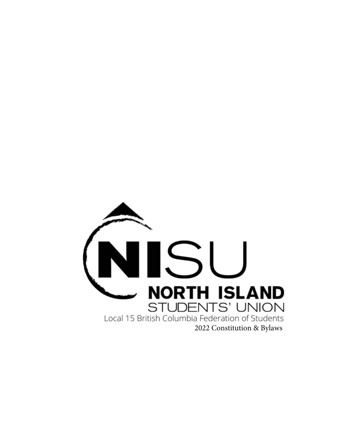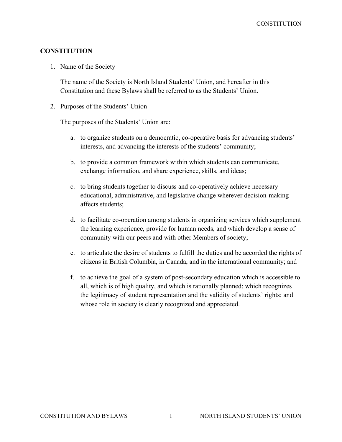**CONSTITUTION** 

#### **CONSTITUTION**

1. Name of the Society

The name of the Society is North Island Students' Union, and hereafter in this Constitution and these Bylaws shall be referred to as the Students' Union.

2. Purposes of the Students' Union

The purposes of the Students' Union are:

- a. to organize students on a democratic, co-operative basis for advancing students' interests, and advancing the interests of the students' community;
- b. to provide a common framework within which students can communicate, exchange information, and share experience, skills, and ideas;
- c. to bring students together to discuss and co-operatively achieve necessary educational, administrative, and legislative change wherever decision-making affects students;
- d. to facilitate co-operation among students in organizing services which supplement the learning experience, provide for human needs, and which develop a sense of community with our peers and with other Members of society;
- e. to articulate the desire of students to fulfill the duties and be accorded the rights of citizens in British Columbia, in Canada, and in the international community; and
- f. to achieve the goal of a system of post-secondary education which is accessible to all, which is of high quality, and which is rationally planned; which recognizes the legitimacy of student representation and the validity of students' rights; and whose role in society is clearly recognized and appreciated.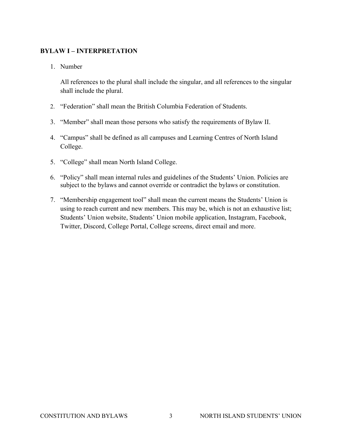# **BYLAW I – INTERPRETATION**

1. Number

All references to the plural shall include the singular, and all references to the singular shall include the plural.

- 2. "Federation" shall mean the British Columbia Federation of Students.
- 3. "Member" shall mean those persons who satisfy the requirements of Bylaw II.
- 4. "Campus" shall be defined as all campuses and Learning Centres of North Island College.
- 5. "College" shall mean North Island College.
- 6. "Policy" shall mean internal rules and guidelines of the Students' Union. Policies are subject to the bylaws and cannot override or contradict the bylaws or constitution.
- 7. "Membership engagement tool" shall mean the current means the Students' Union is using to reach current and new members. This may be, which is not an exhaustive list; Students' Union website, Students' Union mobile application, Instagram, Facebook, Twitter, Discord, College Portal, College screens, direct email and more.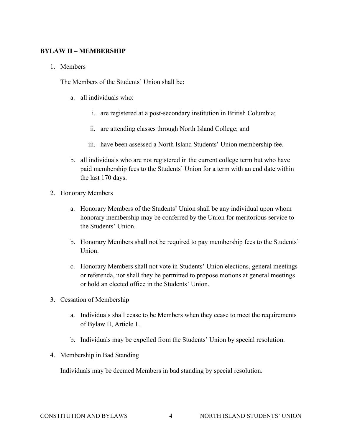#### **BYLAW II – MEMBERSHIP**

1. Members

The Members of the Students' Union shall be:

- a. all individuals who:
	- i. are registered at a post-secondary institution in British Columbia;
	- ii. are attending classes through North Island College; and
	- iii. have been assessed a North Island Students' Union membership fee.
- b. all individuals who are not registered in the current college term but who have paid membership fees to the Students' Union for a term with an end date within the last 170 days.
- 2. Honorary Members
	- a. Honorary Members of the Students' Union shall be any individual upon whom honorary membership may be conferred by the Union for meritorious service to the Students' Union.
	- b. Honorary Members shall not be required to pay membership fees to the Students' Union.
	- c. Honorary Members shall not vote in Students' Union elections, general meetings or referenda, nor shall they be permitted to propose motions at general meetings or hold an elected office in the Students' Union.
- 3. Cessation of Membership
	- a. Individuals shall cease to be Members when they cease to meet the requirements of Bylaw II, Article 1.
	- b. Individuals may be expelled from the Students' Union by special resolution.
- 4. Membership in Bad Standing

Individuals may be deemed Members in bad standing by special resolution.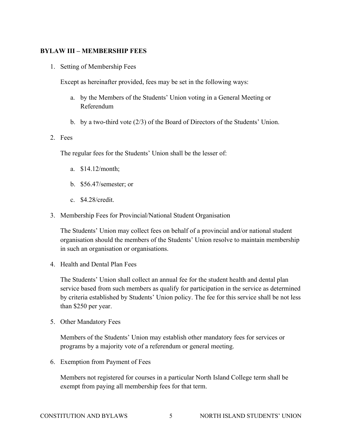## **BYLAW III – MEMBERSHIP FEES**

1. Setting of Membership Fees

Except as hereinafter provided, fees may be set in the following ways:

- a. by the Members of the Students' Union voting in a General Meeting or Referendum
- b. by a two-third vote (2/3) of the Board of Directors of the Students' Union.

#### 2. Fees

The regular fees for the Students' Union shall be the lesser of:

- a. \$14.12/month;
- b. \$56.47/semester; or
- c. \$4.28/credit.
- 3. Membership Fees for Provincial/National Student Organisation

The Students' Union may collect fees on behalf of a provincial and/or national student organisation should the members of the Students' Union resolve to maintain membership in such an organisation or organisations.

4. Health and Dental Plan Fees

The Students' Union shall collect an annual fee for the student health and dental plan service based from such members as qualify for participation in the service as determined by criteria established by Students' Union policy. The fee for this service shall be not less than \$250 per year.

5. Other Mandatory Fees

Members of the Students' Union may establish other mandatory fees for services or programs by a majority vote of a referendum or general meeting.

6. Exemption from Payment of Fees

Members not registered for courses in a particular North Island College term shall be exempt from paying all membership fees for that term.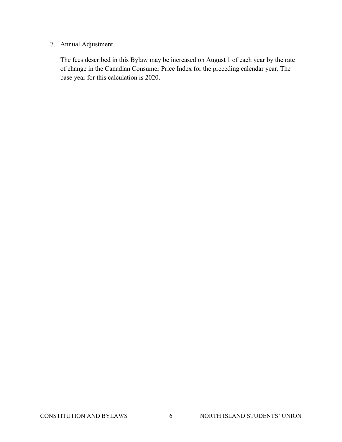# 7. Annual Adjustment

The fees described in this Bylaw may be increased on August 1 of each year by the rate of change in the Canadian Consumer Price Index for the preceding calendar year. The base year for this calculation is 2020.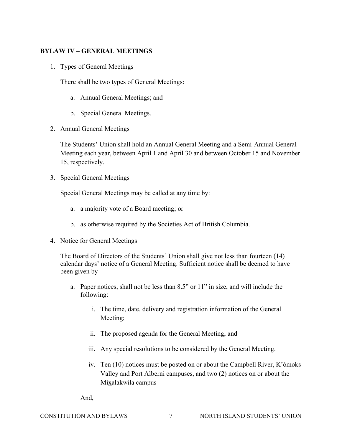# **BYLAW IV – GENERAL MEETINGS**

1. Types of General Meetings

There shall be two types of General Meetings:

- a. Annual General Meetings; and
- b. Special General Meetings.
- 2. Annual General Meetings

The Students' Union shall hold an Annual General Meeting and a Semi-Annual General Meeting each year, between April 1 and April 30 and between October 15 and November 15, respectively.

3. Special General Meetings

Special General Meetings may be called at any time by:

- a. a majority vote of a Board meeting; or
- b. as otherwise required by the Societies Act of British Columbia.
- 4. Notice for General Meetings

The Board of Directors of the Students' Union shall give not less than fourteen (14) calendar days' notice of a General Meeting. Sufficient notice shall be deemed to have been given by

- a. Paper notices, shall not be less than 8.5" or 11" in size, and will include the following:
	- i. The time, date, delivery and registration information of the General Meeting;
	- ii. The proposed agenda for the General Meeting; and
	- iii. Any special resolutions to be considered by the General Meeting.
	- iv. Ten (10) notices must be posted on or about the Campbell River, K'ómoks Valley and Port Alberni campuses, and two (2) notices on or about the Mixalakwila campus
	- And,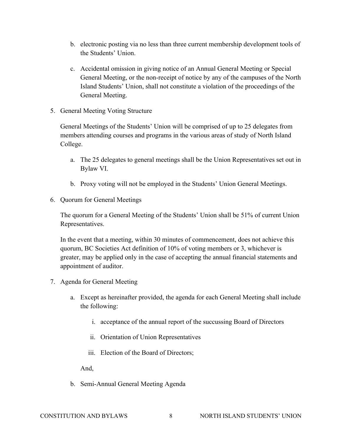- b. electronic posting via no less than three current membership development tools of the Students' Union.
- c. Accidental omission in giving notice of an Annual General Meeting or Special General Meeting, or the non-receipt of notice by any of the campuses of the North Island Students' Union, shall not constitute a violation of the proceedings of the General Meeting.
- 5. General Meeting Voting Structure

General Meetings of the Students' Union will be comprised of up to 25 delegates from members attending courses and programs in the various areas of study of North Island College.

- a. The 25 delegates to general meetings shall be the Union Representatives set out in Bylaw VI.
- b. Proxy voting will not be employed in the Students' Union General Meetings.
- 6. Quorum for General Meetings

The quorum for a General Meeting of the Students' Union shall be 51% of current Union Representatives.

In the event that a meeting, within 30 minutes of commencement, does not achieve this quorum, BC Societies Act definition of 10% of voting members or 3, whichever is greater, may be applied only in the case of accepting the annual financial statements and appointment of auditor.

- 7. Agenda for General Meeting
	- a. Except as hereinafter provided, the agenda for each General Meeting shall include the following:
		- i. acceptance of the annual report of the succussing Board of Directors
		- ii. Orientation of Union Representatives
		- iii. Election of the Board of Directors;

And,

b. Semi-Annual General Meeting Agenda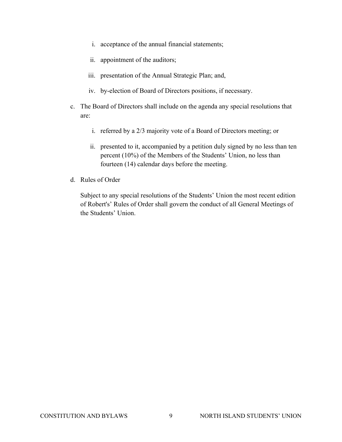- i. acceptance of the annual financial statements;
- ii. appointment of the auditors;
- iii. presentation of the Annual Strategic Plan; and,
- iv. by-election of Board of Directors positions, if necessary.
- c. The Board of Directors shall include on the agenda any special resolutions that are:
	- i. referred by a 2/3 majority vote of a Board of Directors meeting; or
	- ii. presented to it, accompanied by a petition duly signed by no less than ten percent (10%) of the Members of the Students' Union, no less than fourteen (14) calendar days before the meeting.
- d. Rules of Order

Subject to any special resolutions of the Students' Union the most recent edition of Robert's' Rules of Order shall govern the conduct of all General Meetings of the Students' Union.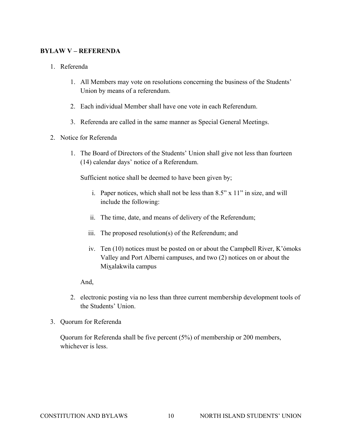#### **BYLAW V – REFERENDA**

- 1. Referenda
	- 1. All Members may vote on resolutions concerning the business of the Students' Union by means of a referendum.
	- 2. Each individual Member shall have one vote in each Referendum.
	- 3. Referenda are called in the same manner as Special General Meetings.
- 2. Notice for Referenda
	- 1. The Board of Directors of the Students' Union shall give not less than fourteen (14) calendar days' notice of a Referendum.

Sufficient notice shall be deemed to have been given by;

- i. Paper notices, which shall not be less than 8.5" x 11" in size, and will include the following:
- ii. The time, date, and means of delivery of the Referendum;
- iii. The proposed resolution(s) of the Referendum; and
- iv. Ten (10) notices must be posted on or about the Campbell River, K'ómoks Valley and Port Alberni campuses, and two (2) notices on or about the Mixalakwila campus

And,

- 2. electronic posting via no less than three current membership development tools of the Students' Union.
- 3. Quorum for Referenda

Quorum for Referenda shall be five percent (5%) of membership or 200 members, whichever is less.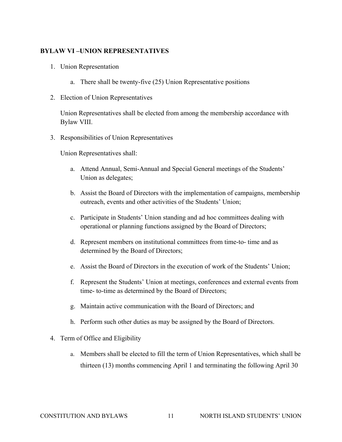#### **BYLAW VI –UNION REPRESENTATIVES**

- 1. Union Representation
	- a. There shall be twenty-five (25) Union Representative positions
- 2. Election of Union Representatives

Union Representatives shall be elected from among the membership accordance with Bylaw VIII.

3. Responsibilities of Union Representatives

Union Representatives shall:

- a. Attend Annual, Semi-Annual and Special General meetings of the Students' Union as delegates;
- b. Assist the Board of Directors with the implementation of campaigns, membership outreach, events and other activities of the Students' Union;
- c. Participate in Students' Union standing and ad hoc committees dealing with operational or planning functions assigned by the Board of Directors;
- d. Represent members on institutional committees from time-to- time and as determined by the Board of Directors;
- e. Assist the Board of Directors in the execution of work of the Students' Union;
- f. Represent the Students' Union at meetings, conferences and external events from time- to-time as determined by the Board of Directors;
- g. Maintain active communication with the Board of Directors; and
- h. Perform such other duties as may be assigned by the Board of Directors.
- 4. Term of Office and Eligibility
	- a. Members shall be elected to fill the term of Union Representatives, which shall be thirteen (13) months commencing April 1 and terminating the following April 30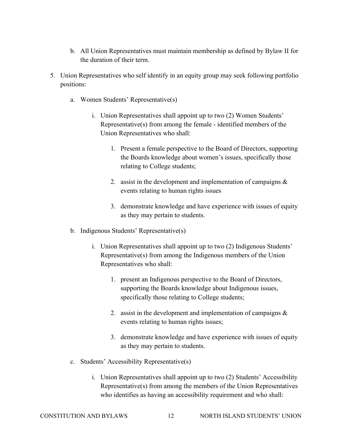- b. All Union Representatives must maintain membership as defined by Bylaw II for the duration of their term.
- 5. Union Representatives who self identify in an equity group may seek following portfolio positions:
	- a. Women Students' Representative(s)
		- i. Union Representatives shall appoint up to two (2) Women Students' Representative(s) from among the female - identified members of the Union Representatives who shall:
			- 1. Present a female perspective to the Board of Directors, supporting the Boards knowledge about women's issues, specifically those relating to College students;
			- 2. assist in the development and implementation of campaigns & events relating to human rights issues
			- 3. demonstrate knowledge and have experience with issues of equity as they may pertain to students.
	- b. Indigenous Students' Representative(s)
		- i. Union Representatives shall appoint up to two (2) Indigenous Students' Representative(s) from among the Indigenous members of the Union Representatives who shall:
			- 1. present an Indigenous perspective to the Board of Directors, supporting the Boards knowledge about Indigenous issues, specifically those relating to College students;
			- 2. assist in the development and implementation of campaigns & events relating to human rights issues;
			- 3. demonstrate knowledge and have experience with issues of equity as they may pertain to students.
	- c. Students' Accessibility Representative(s)
		- i. Union Representatives shall appoint up to two (2) Students' Accessibility Representative(s) from among the members of the Union Representatives who identifies as having an accessibility requirement and who shall: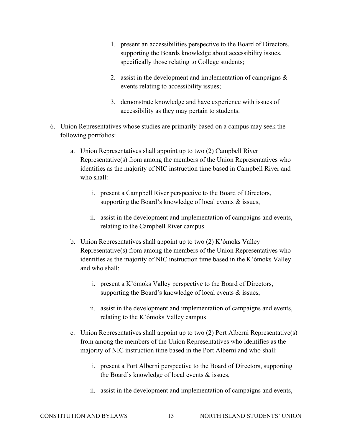- 1. present an accessibilities perspective to the Board of Directors, supporting the Boards knowledge about accessibility issues, specifically those relating to College students;
- 2. assist in the development and implementation of campaigns  $\&$ events relating to accessibility issues;
- 3. demonstrate knowledge and have experience with issues of accessibility as they may pertain to students.
- 6. Union Representatives whose studies are primarily based on a campus may seek the following portfolios:
	- a. Union Representatives shall appoint up to two (2) Campbell River Representative(s) from among the members of the Union Representatives who identifies as the majority of NIC instruction time based in Campbell River and who shall:
		- i. present a Campbell River perspective to the Board of Directors, supporting the Board's knowledge of local events & issues,
		- ii. assist in the development and implementation of campaigns and events, relating to the Campbell River campus
	- b. Union Representatives shall appoint up to two (2) K'ómoks Valley Representative(s) from among the members of the Union Representatives who identifies as the majority of NIC instruction time based in the K'ómoks Valley and who shall:
		- i. present a K'ómoks Valley perspective to the Board of Directors, supporting the Board's knowledge of local events & issues,
		- ii. assist in the development and implementation of campaigns and events, relating to the K'ómoks Valley campus
	- c. Union Representatives shall appoint up to two (2) Port Alberni Representative(s) from among the members of the Union Representatives who identifies as the majority of NIC instruction time based in the Port Alberni and who shall:
		- i. present a Port Alberni perspective to the Board of Directors, supporting the Board's knowledge of local events & issues,
		- ii. assist in the development and implementation of campaigns and events,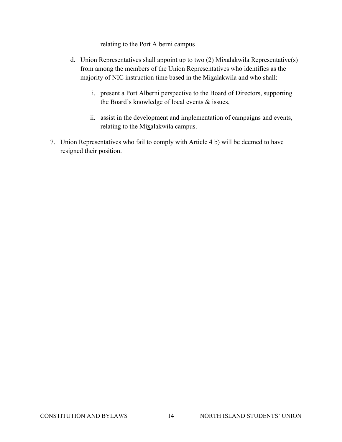relating to the Port Alberni campus

- d. Union Representatives shall appoint up to two  $(2)$  Mixalakwila Representative $(s)$ from among the members of the Union Representatives who identifies as the majority of NIC instruction time based in the Mixalakwila and who shall:
	- i. present a Port Alberni perspective to the Board of Directors, supporting the Board's knowledge of local events & issues,
	- ii. assist in the development and implementation of campaigns and events, relating to the Mixalakwila campus.
- 7. Union Representatives who fail to comply with Article 4 b) will be deemed to have resigned their position.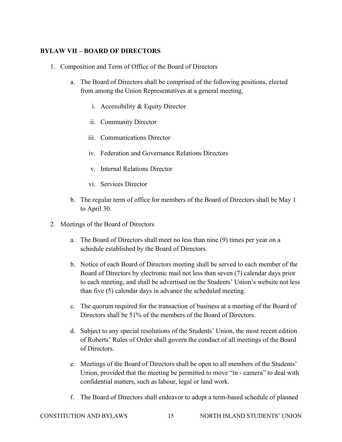# **BYLAW VII – BOARD OF DIRECTORS**

- 1. Composition and Term of Office of the Board of Directors
	- a. The Board of Directors shall be comprised of the following positions, elected from among the Union Representatives at a general meeting,
		- i. Accessibility & Equity Director
		- ii. Community Director
		- iii. Communications Director
		- iv. Federation and Governance Relations Directors
		- v. Internal Relations Director
		- vi. Services Director
	- b. The regular term of office for members of the Board of Directors shall be May 1 to April 30.
- 2. Meetings of the Board of Directors
	- a. The Board of Directors shall meet no less than nine (9) times per year on a schedule established by the Board of Directors.
	- b. Notice of each Board of Directors meeting shall be served to each member of the Board of Directors by electronic mail not less than seven (7) calendar days prior to each meeting, and shall be advertised on the Students' Union's website not less than five (5) calendar days in advance the scheduled meeting.
	- c. The quorum required for the transaction of business at a meeting of the Board of Directors shall be 51% of the members of the Board of Directors.
	- d. Subject to any special resolutions of the Students' Union, the most recent edition of Roberts' Rules of Order shall govern the conduct of all meetings of the Board of Directors.
	- e. Meetings of the Board of Directors shall be open to all members of the Students' Union, provided that the meeting be permitted to move "in - camera" to deal with confidential matters, such as labour, legal or land work.
	- f. The Board of Directors shall endeavor to adopt a term-based schedule of planned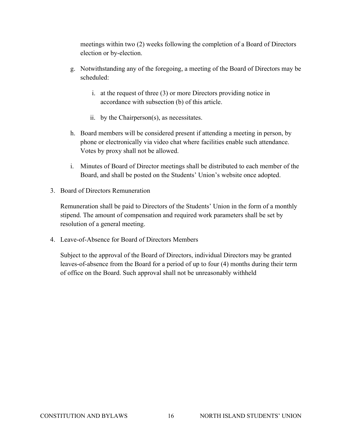meetings within two (2) weeks following the completion of a Board of Directors election or by-election.

- g. Notwithstanding any of the foregoing, a meeting of the Board of Directors may be scheduled:
	- i. at the request of three (3) or more Directors providing notice in accordance with subsection (b) of this article.
	- ii. by the Chairperson(s), as necessitates.
- h. Board members will be considered present if attending a meeting in person, by phone or electronically via video chat where facilities enable such attendance. Votes by proxy shall not be allowed.
- i. Minutes of Board of Director meetings shall be distributed to each member of the Board, and shall be posted on the Students' Union's website once adopted.
- 3. Board of Directors Remuneration

Remuneration shall be paid to Directors of the Students' Union in the form of a monthly stipend. The amount of compensation and required work parameters shall be set by resolution of a general meeting.

4. Leave-of-Absence for Board of Directors Members

Subject to the approval of the Board of Directors, individual Directors may be granted leaves-of-absence from the Board for a period of up to four (4) months during their term of office on the Board. Such approval shall not be unreasonably withheld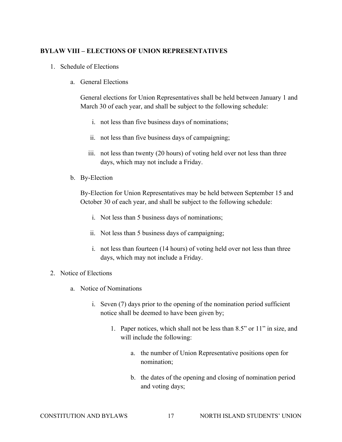#### **BYLAW VIII – ELECTIONS OF UNION REPRESENTATIVES**

- 1. Schedule of Elections
	- a. General Elections

General elections for Union Representatives shall be held between January 1 and March 30 of each year, and shall be subject to the following schedule:

- i. not less than five business days of nominations;
- ii. not less than five business days of campaigning;
- iii. not less than twenty (20 hours) of voting held over not less than three days, which may not include a Friday.
- b. By-Election

By-Election for Union Representatives may be held between September 15 and October 30 of each year, and shall be subject to the following schedule:

- i. Not less than 5 business days of nominations;
- ii. Not less than 5 business days of campaigning;
- i. not less than fourteen (14 hours) of voting held over not less than three days, which may not include a Friday.

#### 2. Notice of Elections

- a. Notice of Nominations
	- i. Seven (7) days prior to the opening of the nomination period sufficient notice shall be deemed to have been given by;
		- 1. Paper notices, which shall not be less than 8.5" or 11" in size, and will include the following:
			- a. the number of Union Representative positions open for nomination;
			- b. the dates of the opening and closing of nomination period and voting days;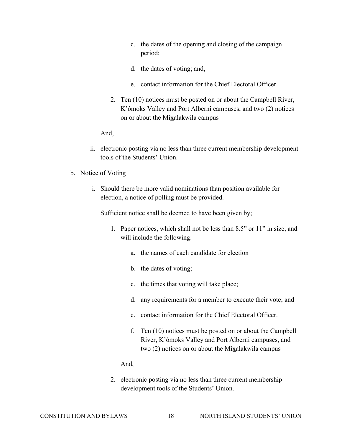- c. the dates of the opening and closing of the campaign period;
- d. the dates of voting; and,
- e. contact information for the Chief Electoral Officer.
- 2. Ten (10) notices must be posted on or about the Campbell River, K'ómoks Valley and Port Alberni campuses, and two (2) notices on or about the Mixalakwila campus

And,

- ii. electronic posting via no less than three current membership development tools of the Students' Union.
- b. Notice of Voting
	- i. Should there be more valid nominations than position available for election, a notice of polling must be provided.

Sufficient notice shall be deemed to have been given by;

- 1. Paper notices, which shall not be less than 8.5" or 11" in size, and will include the following:
	- a. the names of each candidate for election
	- b. the dates of voting;
	- c. the times that voting will take place;
	- d. any requirements for a member to execute their vote; and
	- e. contact information for the Chief Electoral Officer.
	- f. Ten (10) notices must be posted on or about the Campbell River, K'ómoks Valley and Port Alberni campuses, and two  $(2)$  notices on or about the Mixalakwila campus

And,

2. electronic posting via no less than three current membership development tools of the Students' Union.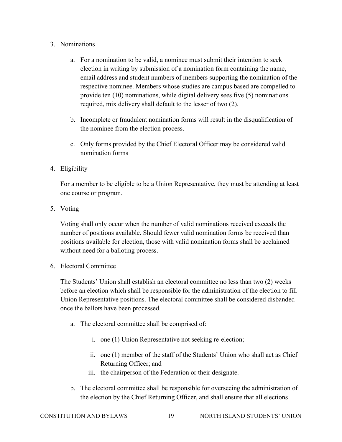#### 3. Nominations

- a. For a nomination to be valid, a nominee must submit their intention to seek election in writing by submission of a nomination form containing the name, email address and student numbers of members supporting the nomination of the respective nominee. Members whose studies are campus based are compelled to provide ten (10) nominations, while digital delivery sees five (5) nominations required, mix delivery shall default to the lesser of two (2).
- b. Incomplete or fraudulent nomination forms will result in the disqualification of the nominee from the election process.
- c. Only forms provided by the Chief Electoral Officer may be considered valid nomination forms

# 4. Eligibility

For a member to be eligible to be a Union Representative, they must be attending at least one course or program.

5. Voting

Voting shall only occur when the number of valid nominations received exceeds the number of positions available. Should fewer valid nomination forms be received than positions available for election, those with valid nomination forms shall be acclaimed without need for a balloting process.

6. Electoral Committee

The Students' Union shall establish an electoral committee no less than two (2) weeks before an election which shall be responsible for the administration of the election to fill Union Representative positions. The electoral committee shall be considered disbanded once the ballots have been processed.

- a. The electoral committee shall be comprised of:
	- i. one (1) Union Representative not seeking re-election;
	- ii. one (1) member of the staff of the Students' Union who shall act as Chief Returning Officer; and
	- iii. the chairperson of the Federation or their designate.
- b. The electoral committee shall be responsible for overseeing the administration of the election by the Chief Returning Officer, and shall ensure that all elections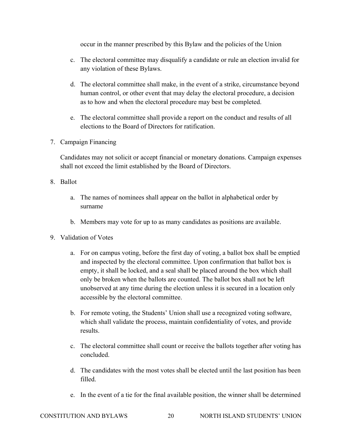occur in the manner prescribed by this Bylaw and the policies of the Union

- c. The electoral committee may disqualify a candidate or rule an election invalid for any violation of these Bylaws.
- d. The electoral committee shall make, in the event of a strike, circumstance beyond human control, or other event that may delay the electoral procedure, a decision as to how and when the electoral procedure may best be completed.
- e. The electoral committee shall provide a report on the conduct and results of all elections to the Board of Directors for ratification.
- 7. Campaign Financing

Candidates may not solicit or accept financial or monetary donations. Campaign expenses shall not exceed the limit established by the Board of Directors.

- 8. Ballot
	- a. The names of nominees shall appear on the ballot in alphabetical order by surname
	- b. Members may vote for up to as many candidates as positions are available.
- 9. Validation of Votes
	- a. For on campus voting, before the first day of voting, a ballot box shall be emptied and inspected by the electoral committee. Upon confirmation that ballot box is empty, it shall be locked, and a seal shall be placed around the box which shall only be broken when the ballots are counted. The ballot box shall not be left unobserved at any time during the election unless it is secured in a location only accessible by the electoral committee.
	- b. For remote voting, the Students' Union shall use a recognized voting software, which shall validate the process, maintain confidentiality of votes, and provide results.
	- c. The electoral committee shall count or receive the ballots together after voting has concluded.
	- d. The candidates with the most votes shall be elected until the last position has been filled.
	- e. In the event of a tie for the final available position, the winner shall be determined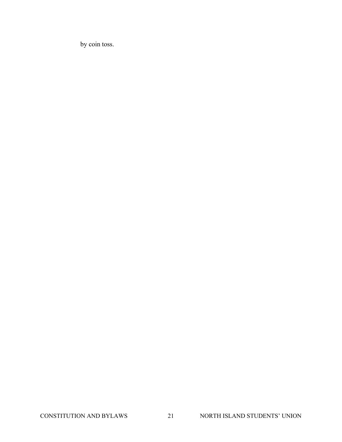by coin toss.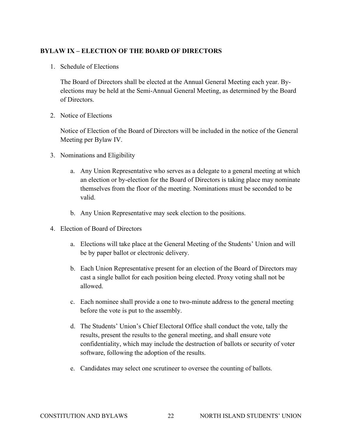## **BYLAW IX – ELECTION OF THE BOARD OF DIRECTORS**

1. Schedule of Elections

The Board of Directors shall be elected at the Annual General Meeting each year. Byelections may be held at the Semi-Annual General Meeting, as determined by the Board of Directors.

2. Notice of Elections

Notice of Election of the Board of Directors will be included in the notice of the General Meeting per Bylaw IV.

- 3. Nominations and Eligibility
	- a. Any Union Representative who serves as a delegate to a general meeting at which an election or by-election for the Board of Directors is taking place may nominate themselves from the floor of the meeting. Nominations must be seconded to be valid.
	- b. Any Union Representative may seek election to the positions.
- 4. Election of Board of Directors
	- a. Elections will take place at the General Meeting of the Students' Union and will be by paper ballot or electronic delivery.
	- b. Each Union Representative present for an election of the Board of Directors may cast a single ballot for each position being elected. Proxy voting shall not be allowed.
	- c. Each nominee shall provide a one to two-minute address to the general meeting before the vote is put to the assembly.
	- d. The Students' Union's Chief Electoral Office shall conduct the vote, tally the results, present the results to the general meeting, and shall ensure vote confidentiality, which may include the destruction of ballots or security of voter software, following the adoption of the results.
	- e. Candidates may select one scrutineer to oversee the counting of ballots.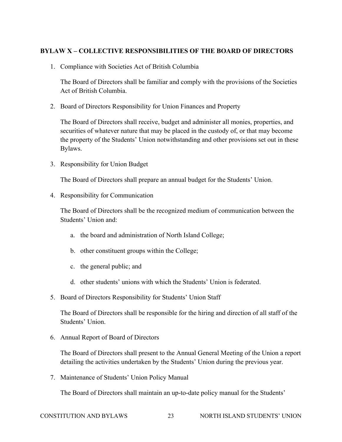# **BYLAW X – COLLECTIVE RESPONSIBILITIES OF THE BOARD OF DIRECTORS**

1. Compliance with Societies Act of British Columbia

The Board of Directors shall be familiar and comply with the provisions of the Societies Act of British Columbia.

2. Board of Directors Responsibility for Union Finances and Property

The Board of Directors shall receive, budget and administer all monies, properties, and securities of whatever nature that may be placed in the custody of, or that may become the property of the Students' Union notwithstanding and other provisions set out in these Bylaws.

3. Responsibility for Union Budget

The Board of Directors shall prepare an annual budget for the Students' Union.

4. Responsibility for Communication

The Board of Directors shall be the recognized medium of communication between the Students' Union and:

- a. the board and administration of North Island College;
- b. other constituent groups within the College;
- c. the general public; and
- d. other students' unions with which the Students' Union is federated.
- 5. Board of Directors Responsibility for Students' Union Staff

The Board of Directors shall be responsible for the hiring and direction of all staff of the Students' Union.

6. Annual Report of Board of Directors

The Board of Directors shall present to the Annual General Meeting of the Union a report detailing the activities undertaken by the Students' Union during the previous year.

7. Maintenance of Students' Union Policy Manual

The Board of Directors shall maintain an up-to-date policy manual for the Students'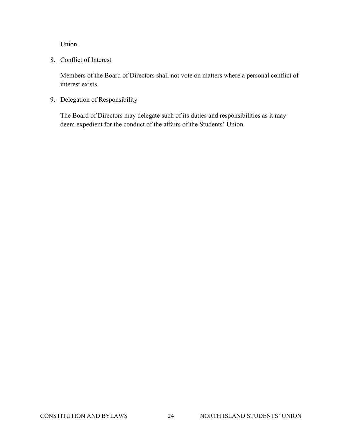Union.

8. Conflict of Interest

Members of the Board of Directors shall not vote on matters where a personal conflict of interest exists.

9. Delegation of Responsibility

The Board of Directors may delegate such of its duties and responsibilities as it may deem expedient for the conduct of the affairs of the Students' Union.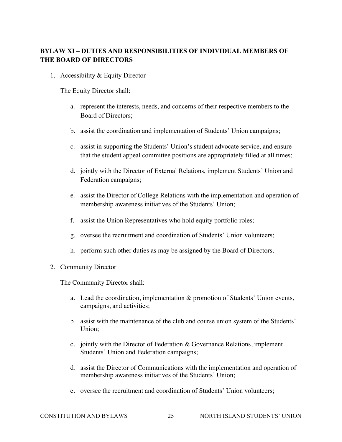# **BYLAW XI – DUTIES AND RESPONSIBILITIES OF INDIVIDUAL MEMBERS OF THE BOARD OF DIRECTORS**

1. Accessibility & Equity Director

The Equity Director shall:

- a. represent the interests, needs, and concerns of their respective members to the Board of Directors;
- b. assist the coordination and implementation of Students' Union campaigns;
- c. assist in supporting the Students' Union's student advocate service, and ensure that the student appeal committee positions are appropriately filled at all times;
- d. jointly with the Director of External Relations, implement Students' Union and Federation campaigns;
- e. assist the Director of College Relations with the implementation and operation of membership awareness initiatives of the Students' Union;
- f. assist the Union Representatives who hold equity portfolio roles;
- g. oversee the recruitment and coordination of Students' Union volunteers;
- h. perform such other duties as may be assigned by the Board of Directors.
- 2. Community Director

The Community Director shall:

- a. Lead the coordination, implementation & promotion of Students' Union events, campaigns, and activities;
- b. assist with the maintenance of the club and course union system of the Students' Union;
- c. jointly with the Director of Federation & Governance Relations, implement Students' Union and Federation campaigns;
- d. assist the Director of Communications with the implementation and operation of membership awareness initiatives of the Students' Union;
- e. oversee the recruitment and coordination of Students' Union volunteers;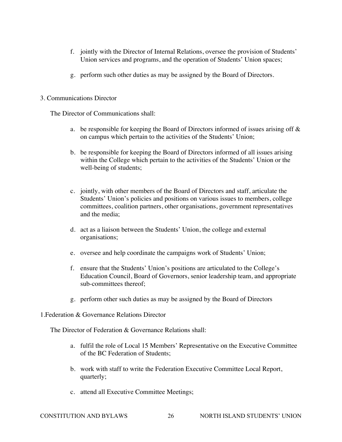- f. jointly with the Director of Internal Relations, oversee the provision of Students' Union services and programs, and the operation of Students' Union spaces;
- g. perform such other duties as may be assigned by the Board of Directors.

#### 3. Communications Director

The Director of Communications shall:

- a. be responsible for keeping the Board of Directors informed of issues arising off  $\&$ on campus which pertain to the activities of the Students' Union;
- b. be responsible for keeping the Board of Directors informed of all issues arising within the College which pertain to the activities of the Students' Union or the well-being of students;
- c. jointly, with other members of the Board of Directors and staff, articulate the Students' Union's policies and positions on various issues to members, college committees, coalition partners, other organisations, government representatives and the media;
- d. act as a liaison between the Students' Union, the college and external organisations;
- e. oversee and help coordinate the campaigns work of Students' Union;
- f. ensure that the Students' Union's positions are articulated to the College's Education Council, Board of Governors, senior leadership team, and appropriate sub-committees thereof;
- g. perform other such duties as may be assigned by the Board of Directors
- 1.Federation & Governance Relations Director

The Director of Federation & Governance Relations shall:

- a. fulfil the role of Local 15 Members' Representative on the Executive Committee of the BC Federation of Students;
- b. work with staff to write the Federation Executive Committee Local Report, quarterly;
- c. attend all Executive Committee Meetings;

CONSTITUTION AND BYLAWS 26 NORTH ISLAND STUDENTS' UNION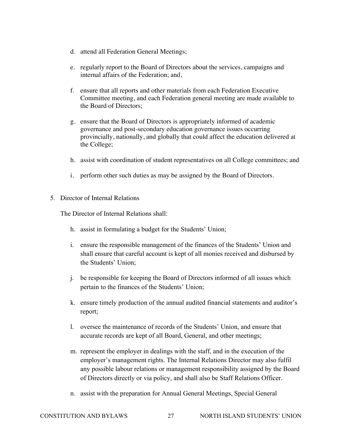- d. attend all Federation General Meetings;
- e. regularly report to the Board of Directors about the services, campaigns and internal affairs of the Federation; and,
- f. ensure that all reports and other materials from each Federation Executive Committee meeting, and each Federation general meeting are made available to the Board of Directors;
- g. ensure that the Board of Directors is appropriately informed of academic governance and post-secondary education governance issues occurring provincially, nationally, and globally that could affect the education delivered at the College;
- h. assist with coordination of student representatives on all College committees; and
- i. perform other such duties as may be assigned by the Board of Directors.
- 5. Director of Internal Relations

The Director of Internal Relations shall:

- h. assist in formulating a budget for the Students' Union;
- i. ensure the responsible management of the finances of the Students' Union and shall ensure that careful account is kept of all monies received and disbursed by the Students' Union;
- j. be responsible for keeping the Board of Directors informed of all issues which pertain to the finances of the Students' Union;
- k. ensure timely production of the annual audited financial statements and auditor's report;
- l. oversee the maintenance of records of the Students' Union, and ensure that accurate records are kept of all Board, General, and other meetings;
- m. represent the employer in dealings with the staff, and in the execution of the employer's management rights. The Internal Relations Director may also fulfil any possible labour relations or management responsibility assigned by the Board of Directors directly or via policy, and shall also be Staff Relations Officer.
- n. assist with the preparation for Annual General Meetings, Special General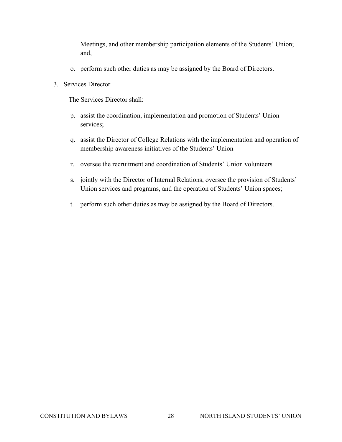Meetings, and other membership participation elements of the Students' Union; and,

- o. perform such other duties as may be assigned by the Board of Directors.
- 3. Services Director

The Services Director shall:

- p. assist the coordination, implementation and promotion of Students' Union services;
- q. assist the Director of College Relations with the implementation and operation of membership awareness initiatives of the Students' Union
- r. oversee the recruitment and coordination of Students' Union volunteers
- s. jointly with the Director of Internal Relations, oversee the provision of Students' Union services and programs, and the operation of Students' Union spaces;
- t. perform such other duties as may be assigned by the Board of Directors.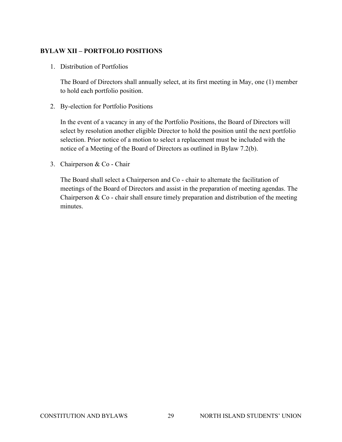# **BYLAW XII – PORTFOLIO POSITIONS**

1. Distribution of Portfolios

The Board of Directors shall annually select, at its first meeting in May, one (1) member to hold each portfolio position.

2. By-election for Portfolio Positions

In the event of a vacancy in any of the Portfolio Positions, the Board of Directors will select by resolution another eligible Director to hold the position until the next portfolio selection. Prior notice of a motion to select a replacement must be included with the notice of a Meeting of the Board of Directors as outlined in Bylaw 7.2(b).

3. Chairperson & Co - Chair

The Board shall select a Chairperson and Co - chair to alternate the facilitation of meetings of the Board of Directors and assist in the preparation of meeting agendas. The Chairperson  $& Co$  - chair shall ensure timely preparation and distribution of the meeting minutes.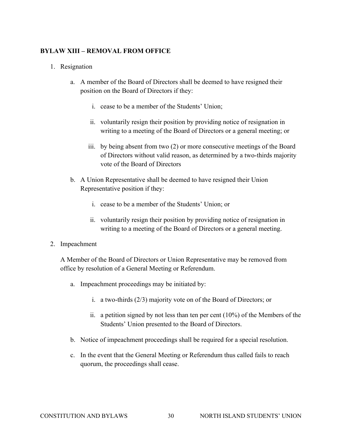## **BYLAW XIII – REMOVAL FROM OFFICE**

#### 1. Resignation

- a. A member of the Board of Directors shall be deemed to have resigned their position on the Board of Directors if they:
	- i. cease to be a member of the Students' Union;
	- ii. voluntarily resign their position by providing notice of resignation in writing to a meeting of the Board of Directors or a general meeting; or
	- iii. by being absent from two (2) or more consecutive meetings of the Board of Directors without valid reason, as determined by a two-thirds majority vote of the Board of Directors
- b. A Union Representative shall be deemed to have resigned their Union Representative position if they:
	- i. cease to be a member of the Students' Union; or
	- ii. voluntarily resign their position by providing notice of resignation in writing to a meeting of the Board of Directors or a general meeting.
- 2. Impeachment

A Member of the Board of Directors or Union Representative may be removed from office by resolution of a General Meeting or Referendum.

- a. Impeachment proceedings may be initiated by:
	- i. a two-thirds (2/3) majority vote on of the Board of Directors; or
	- ii. a petition signed by not less than ten per cent (10%) of the Members of the Students' Union presented to the Board of Directors.
- b. Notice of impeachment proceedings shall be required for a special resolution.
- c. In the event that the General Meeting or Referendum thus called fails to reach quorum, the proceedings shall cease.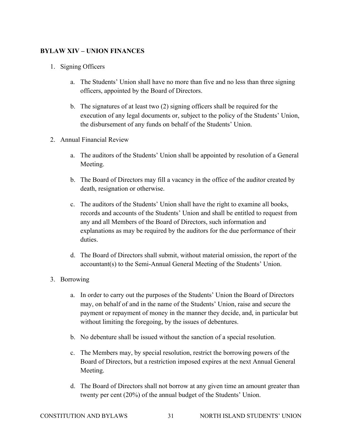# **BYLAW XIV – UNION FINANCES**

- 1. Signing Officers
	- a. The Students' Union shall have no more than five and no less than three signing officers, appointed by the Board of Directors.
	- b. The signatures of at least two (2) signing officers shall be required for the execution of any legal documents or, subject to the policy of the Students' Union, the disbursement of any funds on behalf of the Students' Union.
- 2. Annual Financial Review
	- a. The auditors of the Students' Union shall be appointed by resolution of a General Meeting.
	- b. The Board of Directors may fill a vacancy in the office of the auditor created by death, resignation or otherwise.
	- c. The auditors of the Students' Union shall have the right to examine all books, records and accounts of the Students' Union and shall be entitled to request from any and all Members of the Board of Directors, such information and explanations as may be required by the auditors for the due performance of their duties.
	- d. The Board of Directors shall submit, without material omission, the report of the accountant(s) to the Semi-Annual General Meeting of the Students' Union.
- 3. Borrowing
	- a. In order to carry out the purposes of the Students' Union the Board of Directors may, on behalf of and in the name of the Students' Union, raise and secure the payment or repayment of money in the manner they decide, and, in particular but without limiting the foregoing, by the issues of debentures.
	- b. No debenture shall be issued without the sanction of a special resolution.
	- c. The Members may, by special resolution, restrict the borrowing powers of the Board of Directors, but a restriction imposed expires at the next Annual General Meeting.
	- d. The Board of Directors shall not borrow at any given time an amount greater than twenty per cent (20%) of the annual budget of the Students' Union.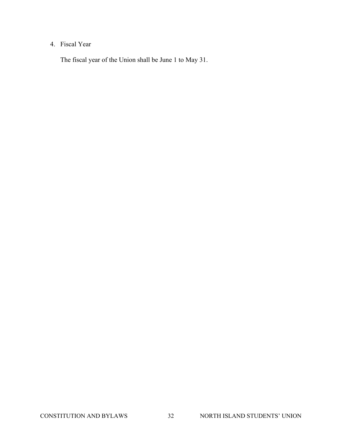# 4. Fiscal Year

The fiscal year of the Union shall be June 1 to May 31.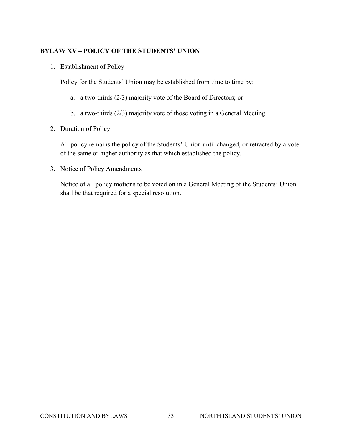# **BYLAW XV – POLICY OF THE STUDENTS' UNION**

1. Establishment of Policy

Policy for the Students' Union may be established from time to time by:

- a. a two-thirds (2/3) majority vote of the Board of Directors; or
- b. a two-thirds (2/3) majority vote of those voting in a General Meeting.
- 2. Duration of Policy

All policy remains the policy of the Students' Union until changed, or retracted by a vote of the same or higher authority as that which established the policy.

3. Notice of Policy Amendments

Notice of all policy motions to be voted on in a General Meeting of the Students' Union shall be that required for a special resolution.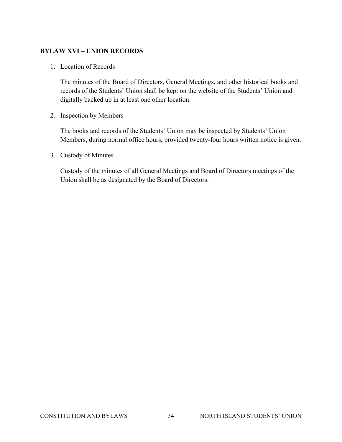#### **BYLAW XVI – UNION RECORDS**

1. Location of Records

The minutes of the Board of Directors, General Meetings, and other historical books and records of the Students' Union shall be kept on the website of the Students' Union and digitally backed up in at least one other location.

2. Inspection by Members

The books and records of the Students' Union may be inspected by Students' Union Members, during normal office hours, provided twenty-four hours written notice is given.

3. Custody of Minutes

Custody of the minutes of all General Meetings and Board of Directors meetings of the Union shall be as designated by the Board of Directors.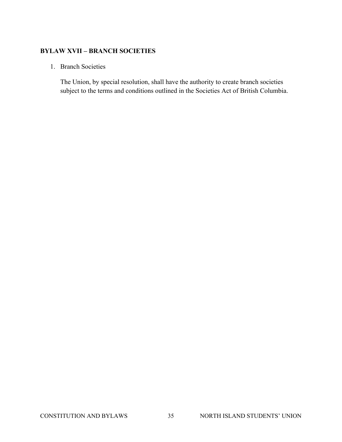#### **BYLAW XVII – BRANCH SOCIETIES**

#### 1. Branch Societies

The Union, by special resolution, shall have the authority to create branch societies subject to the terms and conditions outlined in the Societies Act of British Columbia.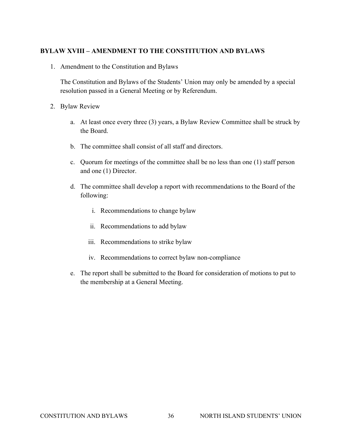#### **BYLAW XVIII – AMENDMENT TO THE CONSTITUTION AND BYLAWS**

1. Amendment to the Constitution and Bylaws

The Constitution and Bylaws of the Students' Union may only be amended by a special resolution passed in a General Meeting or by Referendum.

- 2. Bylaw Review
	- a. At least once every three (3) years, a Bylaw Review Committee shall be struck by the Board.
	- b. The committee shall consist of all staff and directors.
	- c. Quorum for meetings of the committee shall be no less than one (1) staff person and one (1) Director.
	- d. The committee shall develop a report with recommendations to the Board of the following:
		- i. Recommendations to change bylaw
		- ii. Recommendations to add bylaw
		- iii. Recommendations to strike bylaw
		- iv. Recommendations to correct bylaw non-compliance
	- e. The report shall be submitted to the Board for consideration of motions to put to the membership at a General Meeting.